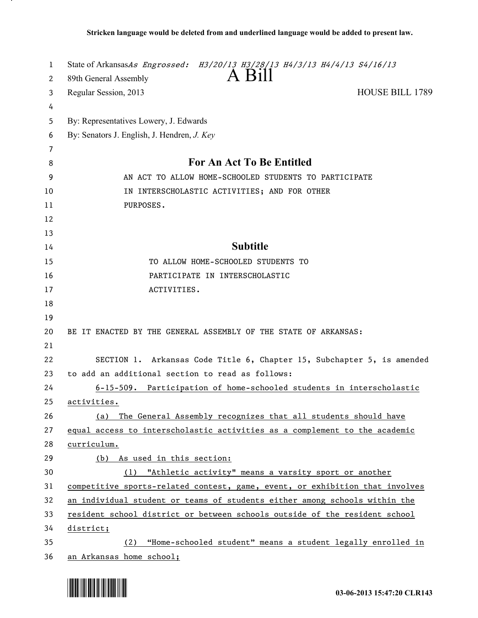| 1  | State of ArkansasAs Engrossed: H3/20/13 H3/28/13 H4/3/13 H4/4/13 S4/16/13    |
|----|------------------------------------------------------------------------------|
| 2  | A Bill<br>89th General Assembly                                              |
| 3  | <b>HOUSE BILL 1789</b><br>Regular Session, 2013                              |
| 4  |                                                                              |
| 5  | By: Representatives Lowery, J. Edwards                                       |
| 6  | By: Senators J. English, J. Hendren, J. Key                                  |
| 7  |                                                                              |
| 8  | For An Act To Be Entitled                                                    |
| 9  | AN ACT TO ALLOW HOME-SCHOOLED STUDENTS TO PARTICIPATE                        |
| 10 | IN INTERSCHOLASTIC ACTIVITIES; AND FOR OTHER                                 |
| 11 | PURPOSES.                                                                    |
| 12 |                                                                              |
| 13 |                                                                              |
| 14 | <b>Subtitle</b>                                                              |
| 15 | TO ALLOW HOME-SCHOOLED STUDENTS TO                                           |
| 16 | PARTICIPATE IN INTERSCHOLASTIC                                               |
| 17 | ACTIVITIES.                                                                  |
| 18 |                                                                              |
| 19 |                                                                              |
| 20 | BE IT ENACTED BY THE GENERAL ASSEMBLY OF THE STATE OF ARKANSAS:              |
| 21 |                                                                              |
| 22 | SECTION 1. Arkansas Code Title 6, Chapter 15, Subchapter 5, is amended       |
| 23 | to add an additional section to read as follows:                             |
| 24 | 6-15-509. Participation of home-schooled students in interscholastic         |
| 25 | activities.                                                                  |
| 26 | The General Assembly recognizes that all students should have<br>(a)         |
| 27 | equal access to interscholastic activities as a complement to the academic   |
| 28 | curriculum.                                                                  |
| 29 | (b) As used in this section:                                                 |
| 30 | (1) "Athletic activity" means a varsity sport or another                     |
| 31 | competitive sports-related contest, game, event, or exhibition that involves |
| 32 | an individual student or teams of students either among schools within the   |
| 33 | resident school district or between schools outside of the resident school   |
| 34 | district;                                                                    |
| 35 | "Home-schooled student" means a student legally enrolled in<br>(2)           |
| 36 | an Arkansas home school;                                                     |



.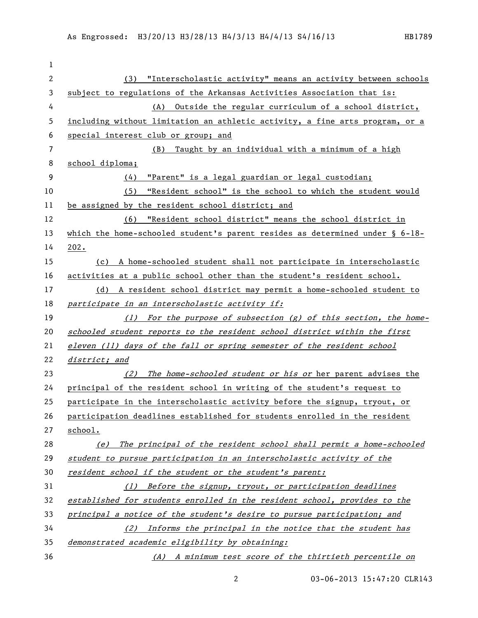| 1              |                                                                                 |
|----------------|---------------------------------------------------------------------------------|
| $\overline{c}$ | "Interscholastic activity" means an activity between schools<br>(3)             |
| 3              | subject to regulations of the Arkansas Activities Association that is:          |
| 4              | Outside the regular curriculum of a school district,<br>(A)                     |
| 5              | including without limitation an athletic activity, a fine arts program, or a    |
| 6              | special interest club or group; and                                             |
| 7              | Taught by an individual with a minimum of a high<br>(B)                         |
| 8              | school diploma;                                                                 |
| 9              | "Parent" is a legal guardian or legal custodian;<br>(4)                         |
| 10             | "Resident school" is the school to which the student would<br>(5)               |
| 11             | be assigned by the resident school district; and                                |
| 12             | (6) "Resident school district" means the school district in                     |
| 13             | which the home-schooled student's parent resides as determined under $\S$ 6-18- |
| 14             | 202.                                                                            |
| 15             | (c) A home-schooled student shall not participate in interscholastic            |
| 16             | activities at a public school other than the student's resident school.         |
| 17             | (d) A resident school district may permit a home-schooled student to            |
| 18             | participate in an interscholastic activity if:                                  |
| 19             | (1) For the purpose of subsection (g) of this section, the home-                |
| 20             | schooled student reports to the resident school district within the first       |
| 21             | eleven (11) days of the fall or spring semester of the resident school          |
| 22             | district; and                                                                   |
| 23             | (2) The home-schooled student or his or her parent advises the                  |
| 24             | principal of the resident school in writing of the student's request to         |
| 25             | participate in the interscholastic activity before the signup, tryout, or       |
| 26             | participation deadlines established for students enrolled in the resident       |
| 27             | school.                                                                         |
| 28             | The principal of the resident school shall permit a home-schooled<br>(e)        |
| 29             | student to pursue participation in an interscholastic activity of the           |
| 30             | resident school if the student or the student's parent:                         |
| 31             | Before the signup, tryout, or participation deadlines<br>(1)                    |
| 32             | established for students enrolled in the resident school, provides to the       |
| 33             | principal a notice of the student's desire to pursue participation; and         |
| 34             |                                                                                 |
|                | (2) Informs the principal in the notice that the student has                    |
| 35             | demonstrated academic eligibility by obtaining:                                 |

03-06-2013 15:47:20 CLR143